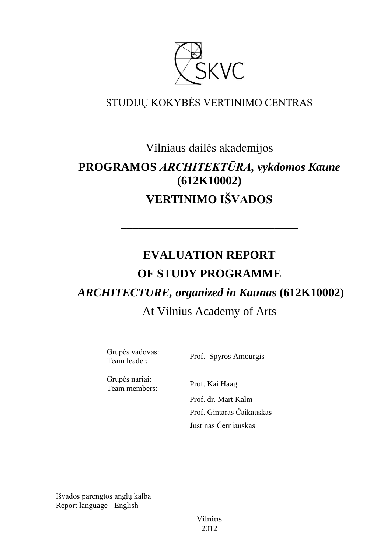

# STUDIJŲ KOKYBĖS VERTINIMO CENTRAS

# Vilniaus dailės akademijos **PROGRAMOS** *ARCHITEKTŪRA, vykdomos Kaune* **(612K10002) VERTINIMO IŠVADOS**

**––––––––––––––––––––––––––––––**

# **EVALUATION REPORT OF STUDY PROGRAMME** *ARCHITECTURE, organized in Kaunas* **(612K10002)**

# At Vilnius Academy of Arts

Grupės vadovas:

Team leader: Prof. Spyros Amourgis

Grupės nariai: Team members: Prof. Kai Haag

Prof. dr. Mart Kalm Prof. Gintaras Čaikauskas Justinas Černiauskas

Išvados parengtos anglų kalba Report language - English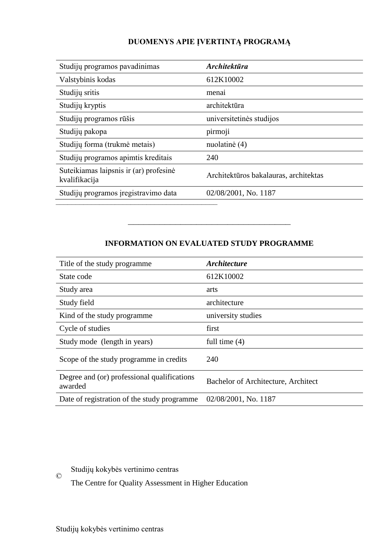# **DUOMENYS APIE ĮVERTINTĄ PROGRAMĄ**

| Studijų programos pavadinimas                           | <i><b>Architektūra</b></i>            |  |
|---------------------------------------------------------|---------------------------------------|--|
| Valstybinis kodas                                       | 612K10002                             |  |
| Studijų sritis                                          | menai                                 |  |
| Studijų kryptis                                         | architektūra                          |  |
| Studijų programos rūšis                                 | universitetinės studijos              |  |
| Studijų pakopa                                          | pirmoji                               |  |
| Studijų forma (trukmė metais)                           | nuolatinė (4)                         |  |
| Studijų programos apimtis kreditais                     | 240                                   |  |
| Suteikiamas laipsnis ir (ar) profesinė<br>kvalifikacija | Architektūros bakalauras, architektas |  |
| Studijų programos įregistravimo data                    | 02/08/2001, No. 1187                  |  |
|                                                         |                                       |  |

# **INFORMATION ON EVALUATED STUDY PROGRAMME**

–––––––––––––––––––––––––––––––

| Title of the study programme.                          | <b>Architecture</b>                 |
|--------------------------------------------------------|-------------------------------------|
| State code                                             | 612K10002                           |
| Study area                                             | arts                                |
| Study field                                            | architecture                        |
| Kind of the study programme.                           | university studies                  |
| Cycle of studies                                       | first                               |
| Study mode (length in years)                           | full time $(4)$                     |
| Scope of the study programme in credits                | 240                                 |
| Degree and (or) professional qualifications<br>awarded | Bachelor of Architecture, Architect |
| Date of registration of the study programme            | 02/08/2001, No. 1187                |

Studijų kokybės vertinimo centras

The Centre for Quality Assessment in Higher Education

©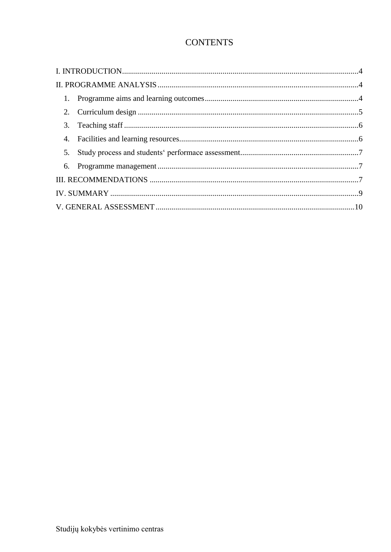# **CONTENTS**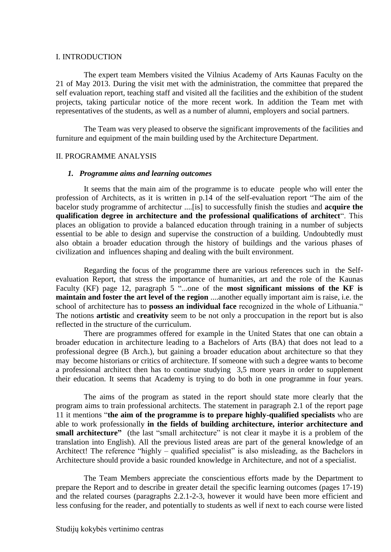#### <span id="page-3-0"></span>I. INTRODUCTION

The expert team Members visited the Vilnius Academy of Arts Kaunas Faculty on the 21 of May 2013. During the visit met with the administration, the committee that prepared the self evaluation report, teaching staff and visited all the facilities and the exhibition of the student projects, taking particular notice of the more recent work. In addition the Team met with representatives of the students, as well as a number of alumni, employers and social partners.

The Team was very pleased to observe the significant improvements of the facilities and furniture and equipment of the main building used by the Architecture Department.

### <span id="page-3-2"></span><span id="page-3-1"></span>II. PROGRAMME ANALYSIS

## *1. Programme aims and learning outcomes*

It seems that the main aim of the programme is to educate people who will enter the profession of Architects, as it is written in p.14 of the self-evaluation report "The aim of the bacelor study programme of architectur ....[is] to successfully finish the studies and **acquire the qualification degree in architecture and the professional qualifications of architect**". This places an obligation to provide a balanced education through training in a number of subjects essential to be able to design and supervise the construction of a building. Undoubtedly must also obtain a broader education through the history of buildings and the various phases of civilization and influences shaping and dealing with the built environment.

Regarding the focus of the programme there are various references such in the Selfevaluation Report, that stress the importance of humanities, art and the role of the Kaunas Faculty (KF) page 12, paragraph 5 "...one of the **most significant missions of the KF is maintain and foster the art level of the region** ....another equally important aim is raise, i.e. the school of architecture has to **possess an individual face** recognized in the whole of Lithuania." The notions **artistic** and **creativity** seem to be not only a proccupation in the report but is also reflected in the structure of the curriculum.

There are programmes offered for example in the United States that one can obtain a broader education in architecture leading to a Bachelors of Arts (BA) that does not lead to a professional degree (B Arch.), but gaining a broader education about architecture so that they may become historians or critics of architecture. If someone with such a degree wants to become a professional architect then has to continue studying 3,5 more years in order to supplement their education. It seems that Academy is trying to do both in one programme in four years.

The aims of the program as stated in the report should state more clearly that the program aims to train professional architects. The statement in paragraph 2.1 of the report page 11 it mentions "**the aim of the programme is to prepare highly-qualified specialists** who are able to work professionally **in the fields of building architecture, interior architecture and small architecture**" (the last "small architecture" is not clear it maybe it is a problem of the translation into English). All the previous listed areas are part of the general knowledge of an Architect! The reference "highly – qualified specialist" is also misleading, as the Bachelors in Architecture should provide a basic rounded knowledge in Architecture, and not of a specialist.

The Team Members appreciate the conscientious efforts made by the Department to prepare the Report and to describe in greater detail the specific learning outcomes (pages 17-19) and the related courses (paragraphs 2.2.1-2-3, however it would have been more efficient and less confusing for the reader, and potentially to students as well if next to each course were listed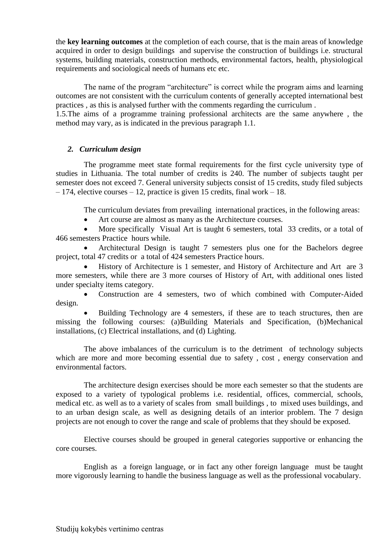the **key learning outcomes** at the completion of each course, that is the main areas of knowledge acquired in order to design buildings and supervise the construction of buildings i.e. structural systems, building materials, construction methods, environmental factors, health, physiological requirements and sociological needs of humans etc etc.

The name of the program "architecture" is correct while the program aims and learning outcomes are not consistent with the curriculum contents of generally accepted international best practices , as this is analysed further with the comments regarding the curriculum .

1.5.The aims of a programme training professional architects are the same anywhere , the method may vary, as is indicated in the previous paragraph 1.1.

# <span id="page-4-0"></span>*2. Curriculum design*

The programme meet state formal requirements for the first cycle university type of studies in Lithuania. The total number of credits is 240. The number of subjects taught per semester does not exceed 7. General university subjects consist of 15 credits, study filed subjects  $-174$ , elective courses  $-12$ , practice is given 15 credits, final work  $-18$ .

The curriculum deviates from prevailing international practices, in the following areas:

Art course are almost as many as the Architecture courses.

 More specifically Visual Art is taught 6 semesters, total 33 credits, or a total of 466 semesters Practice hours while.

 Architectural Design is taught 7 semesters plus one for the Bachelors degree project, total 47 credits or a total of 424 semesters Practice hours.

 History of Architecture is 1 semester, and History of Architecture and Art are 3 more semesters, while there are 3 more courses of History of Art, with additional ones listed under specialty items category.

 Construction are 4 semesters, two of which combined with Computer-Aided design.

 Building Technology are 4 semesters, if these are to teach structures, then are missing the following courses: (a)Building Materials and Specification, (b)Mechanical installations, (c) Electrical installations, and (d) Lighting.

The above imbalances of the curriculum is to the detriment of technology subjects which are more and more becoming essential due to safety , cost , energy conservation and environmental factors.

The architecture design exercises should be more each semester so that the students are exposed to a variety of typological problems i.e. residential, offices, commercial, schools, medical etc. as well as to a variety of scales from small buildings , to mixed uses buildings, and to an urban design scale, as well as designing details of an interior problem. The 7 design projects are not enough to cover the range and scale of problems that they should be exposed.

Elective courses should be grouped in general categories supportive or enhancing the core courses.

English as a foreign language, or in fact any other foreign language must be taught more vigorously learning to handle the business language as well as the professional vocabulary.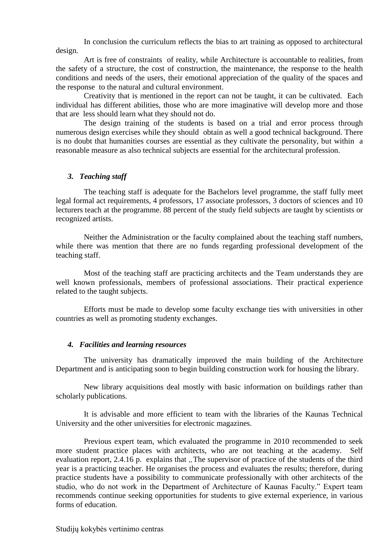In conclusion the curriculum reflects the bias to art training as opposed to architectural design.

Art is free of constraints of reality, while Architecture is accountable to realities, from the safety of a structure, the cost of construction, the maintenance, the response to the health conditions and needs of the users, their emotional appreciation of the quality of the spaces and the response to the natural and cultural environment.

Creativity that is mentioned in the report can not be taught, it can be cultivated. Each individual has different abilities, those who are more imaginative will develop more and those that are less should learn what they should not do.

The design training of the students is based on a trial and error process through numerous design exercises while they should obtain as well a good technical background. There is no doubt that humanities courses are essential as they cultivate the personality, but within a reasonable measure as also technical subjects are essential for the architectural profession.

### <span id="page-5-0"></span>*3. Teaching staff*

The teaching staff is adequate for the Bachelors level programme, the staff fully meet legal formal act requirements, 4 professors, 17 associate professors, 3 doctors of sciences and 10 lecturers teach at the programme. 88 percent of the study field subjects are taught by scientists or recognized artists.

Neither the Administration or the faculty complained about the teaching staff numbers, while there was mention that there are no funds regarding professional development of the teaching staff.

Most of the teaching staff are practicing architects and the Team understands they are well known professionals, members of professional associations. Their practical experience related to the taught subjects.

Efforts must be made to develop some faculty exchange ties with universities in other countries as well as promoting studenty exchanges.

#### <span id="page-5-1"></span>*4. Facilities and learning resources*

The university has dramatically improved the main building of the Architecture Department and is anticipating soon to begin building construction work for housing the library.

New library acquisitions deal mostly with basic information on buildings rather than scholarly publications.

It is advisable and more efficient to team with the libraries of the Kaunas Technical University and the other universities for electronic magazines.

Previous expert team, which evaluated the programme in 2010 recommended to seek more student practice places with architects, who are not teaching at the academy. Self evaluation report, 2.4.16 p. explains that *"*The supervisor of practice of the students of the third year is a practicing teacher. He organises the process and evaluates the results; therefore, during practice students have a possibility to communicate professionally with other architects of the studio, who do not work in the Department of Architecture of Kaunas Faculty." Expert team recommends continue seeking opportunities for students to give external experience, in various forms of education.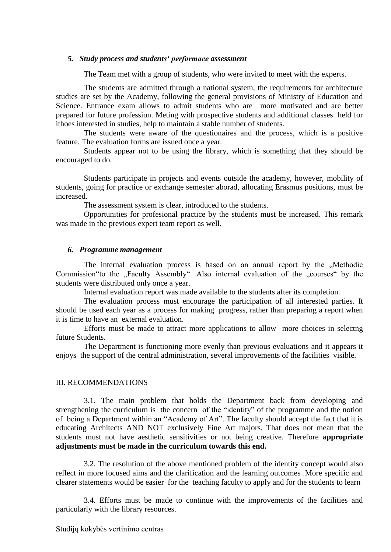#### <span id="page-6-0"></span>*5. Study process and students' performace assessment*

The Team met with a group of students, who were invited to meet with the experts.

The students are admitted through a national system, the requirements for architecture studies are set by the Academy, following the general provisions of Ministry of Education and Science. Entrance exam allows to admit students who are more motivated and are better prepared for future profession. Meting with prospective students and additional classes held for ithoes interested in studies, help to maintain a stable number of students.

The students were aware of the questionaires and the process, which is a positive feature. The evaluation forms are issued once a year.

Students appear not to be using the library, which is something that they should be encouraged to do.

Students participate in projects and events outside the academy, however, mobility of students, going for practice or exchange semester aborad, allocating Erasmus positions, must be increased.

The assessment system is clear, introduced to the students.

Opportunities for profesional practice by the students must be increased. This remark was made in the previous expert team report as well.

### <span id="page-6-1"></span>*6. Programme management*

The internal evaluation process is based on an annual report by the "Methodic Commission to the "Faculty Assembly". Also internal evaluation of the "courses" by the students were distributed only once a year.

Internal evaluation report was made available to the students after its completion.

The evaluation process must encourage the participation of all interested parties. It should be used each year as a process for making progress, rather than preparing a report when it is time to have an external evaluation.

Efforts must be made to attract more applications to allow more choices in selectng future Students.

The Department is functioning more evenly than previous evaluations and it appears it enjoys the support of the central administration, several improvements of the facilities visible.

#### <span id="page-6-2"></span>III. RECOMMENDATIONS

3.1. The main problem that holds the Department back from developing and strengthening the curriculum is the concern of the "identity" of the programme and the notion of being a Department within an "Academy of Art". The faculty should accept the fact that it is educating Architects AND NOT exclusively Fine Art majors. That does not mean that the students must not have aesthetic sensitivities or not being creative. Therefore **appropriate adjustments must be made in the curriculum towards this end.**

3.2. The resolution of the above mentioned problem of the identity concept would also reflect in more focused aims and the clarification and the learning outcomes .More specific and clearer statements would be easier for the teaching faculty to apply and for the students to learn

3.4. Efforts must be made to continue with the improvements of the facilities and particularly with the library resources.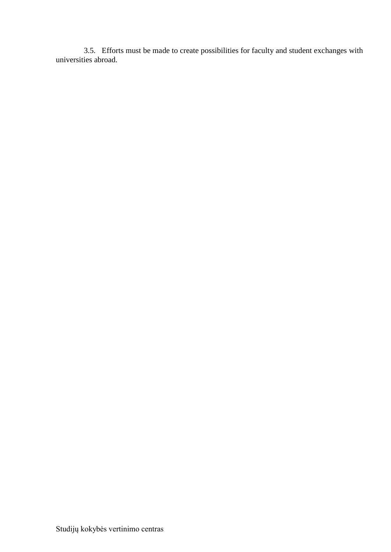3.5. Efforts must be made to create possibilities for faculty and student exchanges with universities abroad.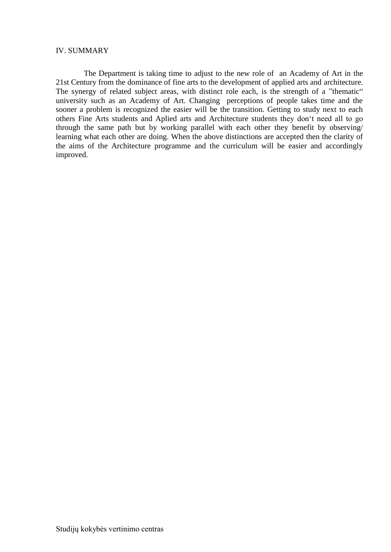## <span id="page-8-0"></span>IV. SUMMARY

The Department is taking time to adjust to the new role of an Academy of Art in the 21st Century from the dominance of fine arts to the development of applied arts and architecture. The synergy of related subject areas, with distinct role each, is the strength of a "thematic" university such as an Academy of Art. Changing perceptions of people takes time and the sooner a problem is recognized the easier will be the transition. Getting to study next to each others Fine Arts students and Aplied arts and Architecture students they don't need all to go through the same path but by working parallel with each other they benefit by observing/ learning what each other are doing. When the above distinctions are accepted then the clarity of the aims of the Architecture programme and the curriculum will be easier and accordingly improved.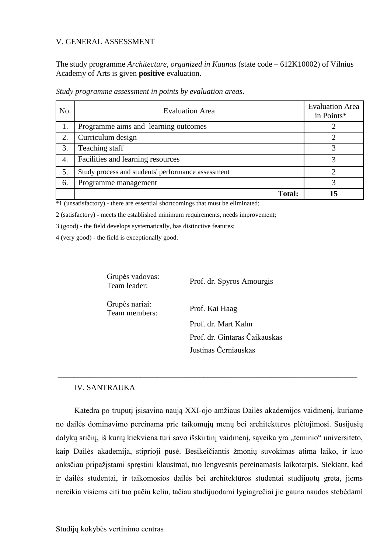# <span id="page-9-0"></span>V. GENERAL ASSESSMENT

The study programme *Architecture, organized in Kaunas* (state code – 612K10002) of Vilnius Academy of Arts is given **positive** evaluation.

| No. | <b>Evaluation Area</b>                             | <b>Evaluation Area</b><br>in Points* |
|-----|----------------------------------------------------|--------------------------------------|
|     | Programme aims and learning outcomes               |                                      |
| 2.  | Curriculum design                                  |                                      |
| 3.  | Teaching staff                                     |                                      |
| 4.  | Facilities and learning resources                  |                                      |
| 5.  | Study process and students' performance assessment |                                      |
| 6.  | Programme management                               |                                      |
|     | <b>Total:</b>                                      | 15                                   |

*Study programme assessment in points by evaluation areas*.

 $*1$  (unsatisfactory) - there are essential shortcomings that must be eliminated;

2 (satisfactory) - meets the established minimum requirements, needs improvement;

3 (good) - the field develops systematically, has distinctive features;

4 (very good) - the field is exceptionally good.

Grupės vadovas:

Team leader: Prof. dr. Spyros Amourgis

Grupės nariai: Team members:

Prof. Kai Haag Prof. dr. Mart Kalm Prof. dr. Gintaras Čaikauskas Justinas Černiauskas

#### IV. SANTRAUKA

Katedra po truputį įsisavina naują XXI-ojo amžiaus Dailės akademijos vaidmenį, kuriame no dailės dominavimo pereinama prie taikomųjų menų bei architektūros plėtojimosi. Susijusių dalykų sričių, iš kurių kiekviena turi savo išskirtinį vaidmenį, sąveika yra "teminio" universiteto, kaip Dailės akademija, stiprioji pusė. Besikeičiantis žmonių suvokimas atima laiko, ir kuo anksčiau pripažįstami spręstini klausimai, tuo lengvesnis pereinamasis laikotarpis. Siekiant, kad ir dailės studentai, ir taikomosios dailės bei architektūros studentai studijuotų greta, jiems nereikia visiems eiti tuo pačiu keliu, tačiau studijuodami lygiagrečiai jie gauna naudos stebėdami

\_\_\_\_\_\_\_\_\_\_\_\_\_\_\_\_\_\_\_\_\_\_\_\_\_\_\_\_\_\_\_\_\_\_\_\_\_\_\_\_\_\_\_\_\_\_\_\_\_\_\_\_\_\_\_\_\_\_\_\_\_\_\_\_\_\_\_\_\_\_\_\_\_\_\_\_